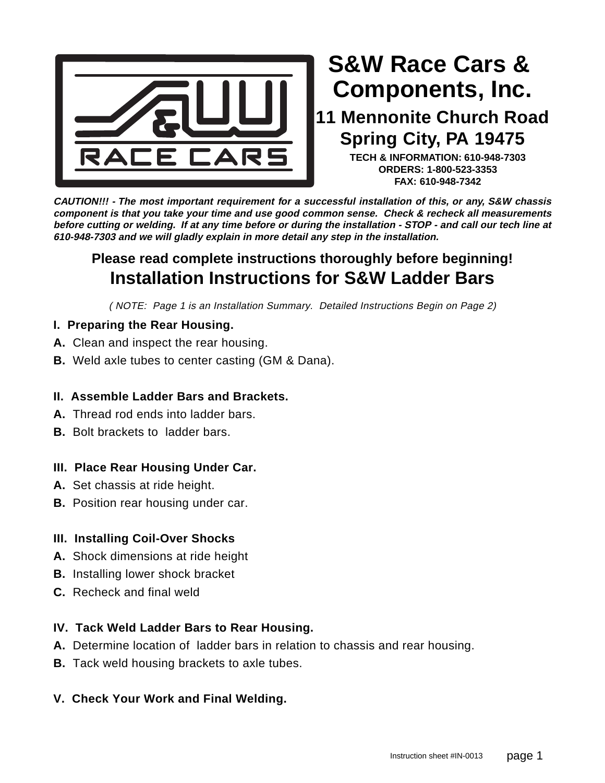

## **Components, Inc. S&W Race Cars &**

**11 Mennonite Church Road Spring City, PA 19475**

> **TECH & INFORMATION: 610-948-7303 ORDERS: 1-800-523-3353 FAX: 610-948-7342**

**CAUTION!!! - The most important requirement for a successful installation of this, or any, S&W chassis component is that you take your time and use good common sense. Check & recheck all measurements before cutting or welding. If at any time before or during the installation - STOP - and call our tech line at 610-948-7303 and we will gladly explain in more detail any step in the installation.**

## **Please read complete instructions thoroughly before beginning! Installation Instructions for S&W Ladder Bars**

( NOTE: Page 1 is an Installation Summary. Detailed Instructions Begin on Page 2)

## **I. Preparing the Rear Housing.**

- **A.** Clean and inspect the rear housing.
- **B.** Weld axle tubes to center casting (GM & Dana).

## **II. Assemble Ladder Bars and Brackets.**

- **A.** Thread rod ends into ladder bars.
- **B.** Bolt brackets to ladder bars.

## **III. Place Rear Housing Under Car.**

- **A.** Set chassis at ride height.
- **B.** Position rear housing under car.

## **III. Installing Coil-Over Shocks**

- **A.** Shock dimensions at ride height
- **B.** Installing lower shock bracket
- **C.** Recheck and final weld

## **IV. Tack Weld Ladder Bars to Rear Housing.**

- **A.** Determine location of ladder bars in relation to chassis and rear housing.
- **B.** Tack weld housing brackets to axle tubes.

## **V. Check Your Work and Final Welding.**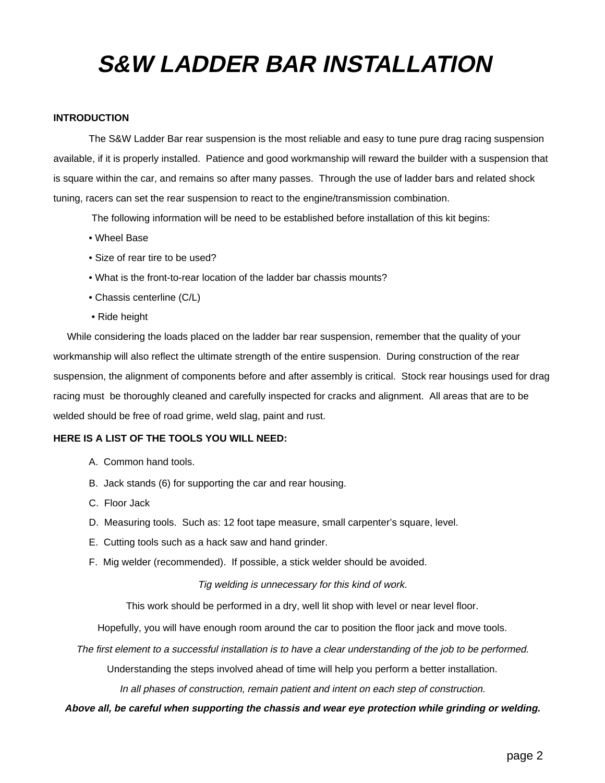# **S&W LADDER BAR INSTALLATION**

#### **INTRODUCTION**

The S&W Ladder Bar rear suspension is the most reliable and easy to tune pure drag racing suspension available, if it is properly installed. Patience and good workmanship will reward the builder with a suspension that is square within the car, and remains so after many passes. Through the use of ladder bars and related shock tuning, racers can set the rear suspension to react to the engine/transmission combination.

The following information will be need to be established before installation of this kit begins:

- Wheel Base
- Size of rear tire to be used?
- What is the front-to-rear location of the ladder bar chassis mounts?
- Chassis centerline (C/L)
- Ride height

 While considering the loads placed on the ladder bar rear suspension, remember that the quality of your workmanship will also reflect the ultimate strength of the entire suspension. During construction of the rear suspension, the alignment of components before and after assembly is critical. Stock rear housings used for drag racing must be thoroughly cleaned and carefully inspected for cracks and alignment. All areas that are to be welded should be free of road grime, weld slag, paint and rust.

#### **HERE IS A LIST OF THE TOOLS YOU WILL NEED:**

- A. Common hand tools.
- B. Jack stands (6) for supporting the car and rear housing.
- C. Floor Jack
- D. Measuring tools. Such as: 12 foot tape measure, small carpenter's square, level.
- E. Cutting tools such as a hack saw and hand grinder.
- F. Mig welder (recommended). If possible, a stick welder should be avoided.

Tig welding is unnecessary for this kind of work.

This work should be performed in a dry, well lit shop with level or near level floor.

Hopefully, you will have enough room around the car to position the floor jack and move tools.

The first element to a successful installation is to have a clear understanding of the job to be performed.

Understanding the steps involved ahead of time will help you perform a better installation.

In all phases of construction, remain patient and intent on each step of construction.

#### **Above all, be careful when supporting the chassis and wear eye protection while grinding or welding.**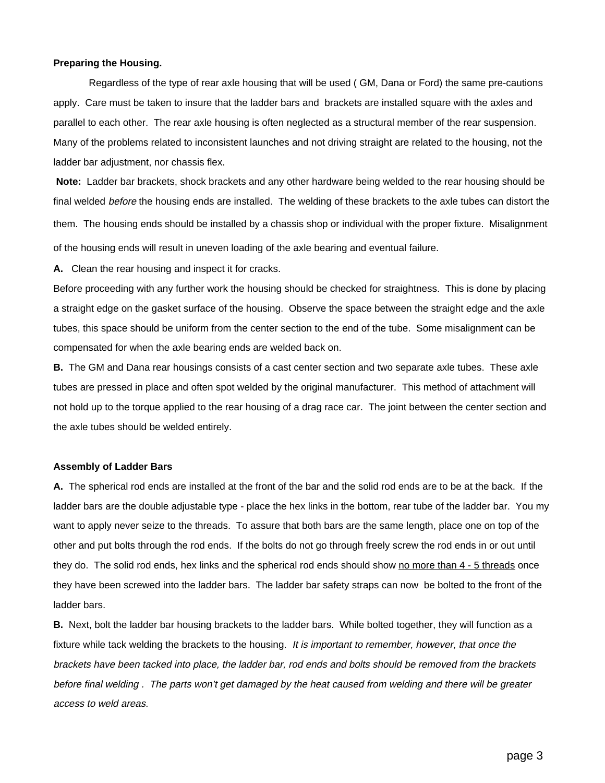#### **Preparing the Housing.**

Regardless of the type of rear axle housing that will be used ( GM, Dana or Ford) the same pre-cautions apply. Care must be taken to insure that the ladder bars and brackets are installed square with the axles and parallel to each other. The rear axle housing is often neglected as a structural member of the rear suspension. Many of the problems related to inconsistent launches and not driving straight are related to the housing, not the ladder bar adjustment, nor chassis flex.

 **Note:** Ladder bar brackets, shock brackets and any other hardware being welded to the rear housing should be final welded before the housing ends are installed. The welding of these brackets to the axle tubes can distort the them. The housing ends should be installed by a chassis shop or individual with the proper fixture. Misalignment of the housing ends will result in uneven loading of the axle bearing and eventual failure.

**A.** Clean the rear housing and inspect it for cracks.

Before proceeding with any further work the housing should be checked for straightness. This is done by placing a straight edge on the gasket surface of the housing. Observe the space between the straight edge and the axle tubes, this space should be uniform from the center section to the end of the tube. Some misalignment can be compensated for when the axle bearing ends are welded back on.

**B.** The GM and Dana rear housings consists of a cast center section and two separate axle tubes. These axle tubes are pressed in place and often spot welded by the original manufacturer. This method of attachment will not hold up to the torque applied to the rear housing of a drag race car. The joint between the center section and the axle tubes should be welded entirely.

#### **Assembly of Ladder Bars**

**A.** The spherical rod ends are installed at the front of the bar and the solid rod ends are to be at the back. If the ladder bars are the double adjustable type - place the hex links in the bottom, rear tube of the ladder bar. You my want to apply never seize to the threads. To assure that both bars are the same length, place one on top of the other and put bolts through the rod ends. If the bolts do not go through freely screw the rod ends in or out until they do. The solid rod ends, hex links and the spherical rod ends should show no more than 4 - 5 threads once they have been screwed into the ladder bars. The ladder bar safety straps can now be bolted to the front of the ladder bars.

**B.** Next, bolt the ladder bar housing brackets to the ladder bars. While bolted together, they will function as a fixture while tack welding the brackets to the housing. It is important to remember, however, that once the brackets have been tacked into place, the ladder bar, rod ends and bolts should be removed from the brackets before final welding . The parts won't get damaged by the heat caused from welding and there will be greater access to weld areas.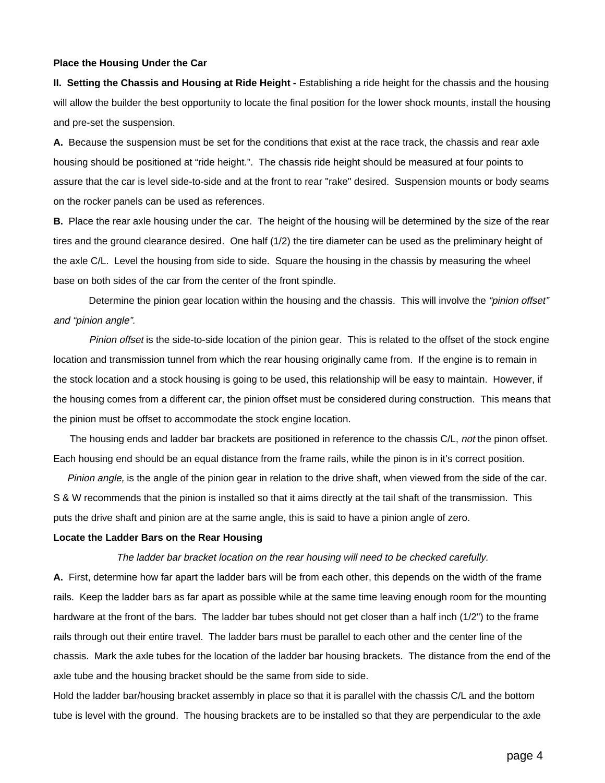#### **Place the Housing Under the Car**

**II. Setting the Chassis and Housing at Ride Height -** Establishing a ride height for the chassis and the housing will allow the builder the best opportunity to locate the final position for the lower shock mounts, install the housing and pre-set the suspension.

**A.** Because the suspension must be set for the conditions that exist at the race track, the chassis and rear axle housing should be positioned at "ride height.". The chassis ride height should be measured at four points to assure that the car is level side-to-side and at the front to rear "rake" desired. Suspension mounts or body seams on the rocker panels can be used as references.

**B.** Place the rear axle housing under the car. The height of the housing will be determined by the size of the rear tires and the ground clearance desired. One half (1/2) the tire diameter can be used as the preliminary height of the axle C/L. Level the housing from side to side. Square the housing in the chassis by measuring the wheel base on both sides of the car from the center of the front spindle.

Determine the pinion gear location within the housing and the chassis. This will involve the "pinion offset" and "pinion angle".

Pinion offset is the side-to-side location of the pinion gear. This is related to the offset of the stock engine location and transmission tunnel from which the rear housing originally came from. If the engine is to remain in the stock location and a stock housing is going to be used, this relationship will be easy to maintain. However, if the housing comes from a different car, the pinion offset must be considered during construction. This means that the pinion must be offset to accommodate the stock engine location.

The housing ends and ladder bar brackets are positioned in reference to the chassis C/L, not the pinon offset. Each housing end should be an equal distance from the frame rails, while the pinon is in it's correct position.

Pinion angle, is the angle of the pinion gear in relation to the drive shaft, when viewed from the side of the car. S & W recommends that the pinion is installed so that it aims directly at the tail shaft of the transmission. This puts the drive shaft and pinion are at the same angle, this is said to have a pinion angle of zero.

#### **Locate the Ladder Bars on the Rear Housing**

#### The ladder bar bracket location on the rear housing will need to be checked carefully.

**A.** First, determine how far apart the ladder bars will be from each other, this depends on the width of the frame rails. Keep the ladder bars as far apart as possible while at the same time leaving enough room for the mounting hardware at the front of the bars. The ladder bar tubes should not get closer than a half inch (1/2") to the frame rails through out their entire travel. The ladder bars must be parallel to each other and the center line of the chassis. Mark the axle tubes for the location of the ladder bar housing brackets. The distance from the end of the axle tube and the housing bracket should be the same from side to side.

Hold the ladder bar/housing bracket assembly in place so that it is parallel with the chassis C/L and the bottom tube is level with the ground. The housing brackets are to be installed so that they are perpendicular to the axle